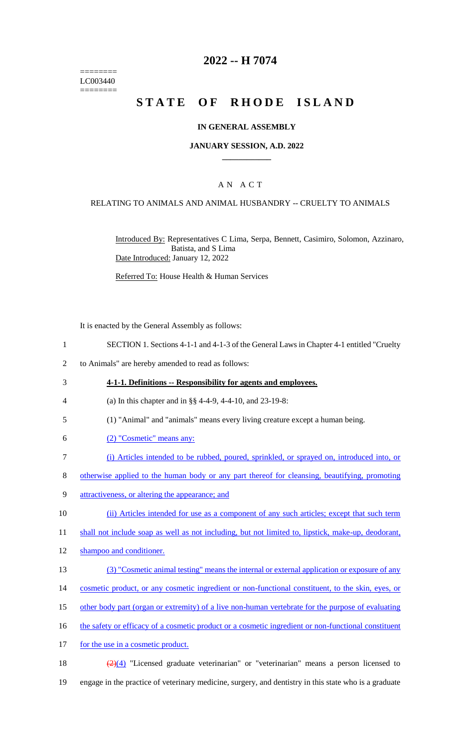======== LC003440 ========

# **2022 -- H 7074**

# **STATE OF RHODE ISLAND**

### **IN GENERAL ASSEMBLY**

### **JANUARY SESSION, A.D. 2022 \_\_\_\_\_\_\_\_\_\_\_\_**

## A N A C T

### RELATING TO ANIMALS AND ANIMAL HUSBANDRY -- CRUELTY TO ANIMALS

Introduced By: Representatives C Lima, Serpa, Bennett, Casimiro, Solomon, Azzinaro, Batista, and S Lima Date Introduced: January 12, 2022

Referred To: House Health & Human Services

It is enacted by the General Assembly as follows:

- 1 SECTION 1. Sections 4-1-1 and 4-1-3 of the General Laws in Chapter 4-1 entitled "Cruelty
- 2 to Animals" are hereby amended to read as follows:
- 3 **4-1-1. Definitions -- Responsibility for agents and employees.**
- 4 (a) In this chapter and in §§ 4-4-9, 4-4-10, and 23-19-8:
- 5 (1) "Animal" and "animals" means every living creature except a human being.
- 6 (2) "Cosmetic" means any:
- 7 (i) Articles intended to be rubbed, poured, sprinkled, or sprayed on, introduced into, or
- 8 otherwise applied to the human body or any part thereof for cleansing, beautifying, promoting
- 9 attractiveness, or altering the appearance; and

10 (ii) Articles intended for use as a component of any such articles; except that such term

11 shall not include soap as well as not including, but not limited to, lipstick, make-up, deodorant,

- 12 shampoo and conditioner.
- 13 (3) "Cosmetic animal testing" means the internal or external application or exposure of any
- 14 cosmetic product, or any cosmetic ingredient or non-functional constituent, to the skin, eyes, or
- 15 other body part (organ or extremity) of a live non-human vertebrate for the purpose of evaluating
- 16 the safety or efficacy of a cosmetic product or a cosmetic ingredient or non-functional constituent
- 17 for the use in a cosmetic product.

18  $\frac{(2)(4)}{2}$  "Licensed graduate veterinarian" or "veterinarian" means a person licensed to 19 engage in the practice of veterinary medicine, surgery, and dentistry in this state who is a graduate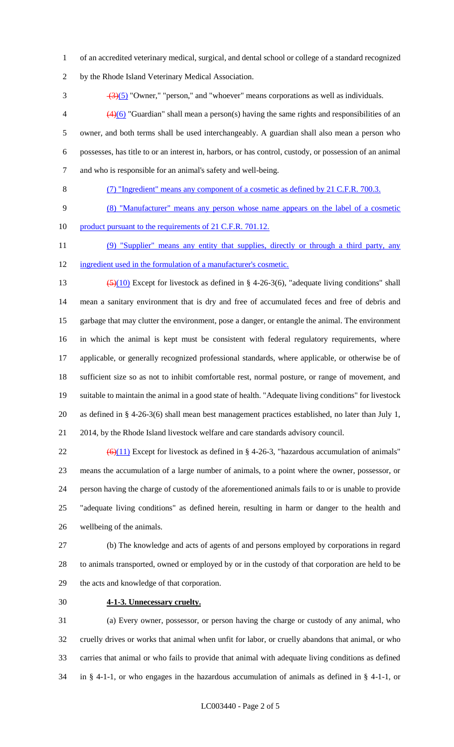of an accredited veterinary medical, surgical, and dental school or college of a standard recognized

by the Rhode Island Veterinary Medical Association.

 $\frac{(3)(5)}{2}$  "Owner," "person," and "whoever" means corporations as well as individuals.

 $\left(4\right)^{4}(6)$  "Guardian" shall mean a person(s) having the same rights and responsibilities of an owner, and both terms shall be used interchangeably. A guardian shall also mean a person who possesses, has title to or an interest in, harbors, or has control, custody, or possession of an animal and who is responsible for an animal's safety and well-being.

(7) "Ingredient" means any component of a cosmetic as defined by 21 C.F.R. 700.3.

(8) "Manufacturer" means any person whose name appears on the label of a cosmetic

10 product pursuant to the requirements of 21 C.F.R. 701.12.

11 (9) "Supplier" means any entity that supplies, directly or through a third party, any ingredient used in the formulation of a manufacturer's cosmetic.

13  $\left(\frac{5}{10}\right)$  Except for livestock as defined in § 4-26-3(6), "adequate living conditions" shall mean a sanitary environment that is dry and free of accumulated feces and free of debris and garbage that may clutter the environment, pose a danger, or entangle the animal. The environment

in which the animal is kept must be consistent with federal regulatory requirements, where

applicable, or generally recognized professional standards, where applicable, or otherwise be of

sufficient size so as not to inhibit comfortable rest, normal posture, or range of movement, and

suitable to maintain the animal in a good state of health. "Adequate living conditions" for livestock

as defined in § 4-26-3(6) shall mean best management practices established, no later than July 1,

2014, by the Rhode Island livestock welfare and care standards advisory council.

 $(6)(11)$  Except for livestock as defined in § 4-26-3, "hazardous accumulation of animals" means the accumulation of a large number of animals, to a point where the owner, possessor, or person having the charge of custody of the aforementioned animals fails to or is unable to provide "adequate living conditions" as defined herein, resulting in harm or danger to the health and wellbeing of the animals.

 (b) The knowledge and acts of agents of and persons employed by corporations in regard to animals transported, owned or employed by or in the custody of that corporation are held to be the acts and knowledge of that corporation.

**4-1-3. Unnecessary cruelty.**

 (a) Every owner, possessor, or person having the charge or custody of any animal, who cruelly drives or works that animal when unfit for labor, or cruelly abandons that animal, or who carries that animal or who fails to provide that animal with adequate living conditions as defined in § 4-1-1, or who engages in the hazardous accumulation of animals as defined in § 4-1-1, or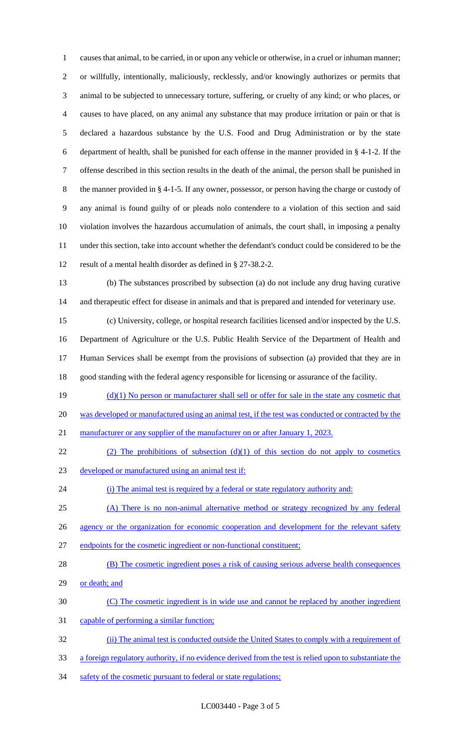causes that animal, to be carried, in or upon any vehicle or otherwise, in a cruel or inhuman manner; or willfully, intentionally, maliciously, recklessly, and/or knowingly authorizes or permits that animal to be subjected to unnecessary torture, suffering, or cruelty of any kind; or who places, or causes to have placed, on any animal any substance that may produce irritation or pain or that is declared a hazardous substance by the U.S. Food and Drug Administration or by the state department of health, shall be punished for each offense in the manner provided in § 4-1-2. If the offense described in this section results in the death of the animal, the person shall be punished in the manner provided in § 4-1-5. If any owner, possessor, or person having the charge or custody of any animal is found guilty of or pleads nolo contendere to a violation of this section and said violation involves the hazardous accumulation of animals, the court shall, in imposing a penalty under this section, take into account whether the defendant's conduct could be considered to be the result of a mental health disorder as defined in § 27-38.2-2. (b) The substances proscribed by subsection (a) do not include any drug having curative

and therapeutic effect for disease in animals and that is prepared and intended for veterinary use.

 (c) University, college, or hospital research facilities licensed and/or inspected by the U.S. Department of Agriculture or the U.S. Public Health Service of the Department of Health and Human Services shall be exempt from the provisions of subsection (a) provided that they are in good standing with the federal agency responsible for licensing or assurance of the facility.

19  $(d)(1)$  No person or manufacturer shall sell or offer for sale in the state any cosmetic that was developed or manufactured using an animal test, if the test was conducted or contracted by the 21 manufacturer or any supplier of the manufacturer on or after January 1, 2023.

- 22 (2) The prohibitions of subsection  $(d)(1)$  of this section do not apply to cosmetics
- developed or manufactured using an animal test if:

24 (i) The animal test is required by a federal or state regulatory authority and:

(A) There is no non-animal alternative method or strategy recognized by any federal

26 agency or the organization for economic cooperation and development for the relevant safety

- endpoints for the cosmetic ingredient or non-functional constituent;
- 28 (B) The cosmetic ingredient poses a risk of causing serious adverse health consequences
- 29 or death; and
- (C) The cosmetic ingredient is in wide use and cannot be replaced by another ingredient
- 31 capable of performing a similar function;
- (ii) The animal test is conducted outside the United States to comply with a requirement of
- a foreign regulatory authority, if no evidence derived from the test is relied upon to substantiate the
- 34 safety of the cosmetic pursuant to federal or state regulations;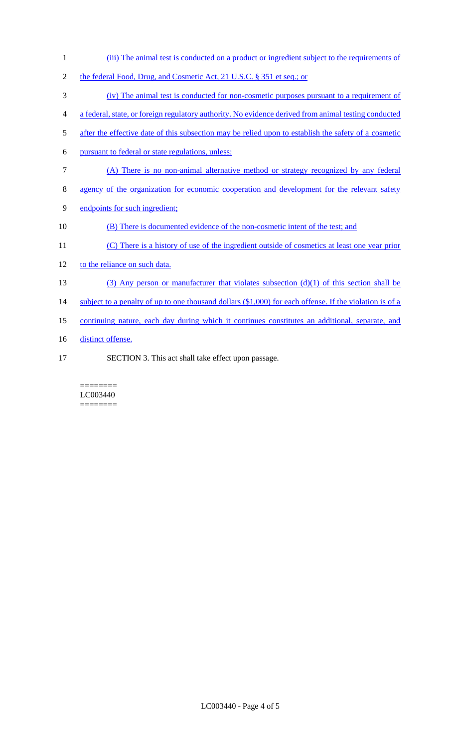1 (iii) The animal test is conducted on a product or ingredient subject to the requirements of 2 the federal Food, Drug, and Cosmetic Act, 21 U.S.C. § 351 et seq.; or 3 (iv) The animal test is conducted for non-cosmetic purposes pursuant to a requirement of 4 a federal, state, or foreign regulatory authority. No evidence derived from animal testing conducted 5 after the effective date of this subsection may be relied upon to establish the safety of a cosmetic 6 pursuant to federal or state regulations, unless: 7 (A) There is no non-animal alternative method or strategy recognized by any federal 8 agency of the organization for economic cooperation and development for the relevant safety 9 endpoints for such ingredient; 10 (B) There is documented evidence of the non-cosmetic intent of the test; and 11 (C) There is a history of use of the ingredient outside of cosmetics at least one year prior 12 to the reliance on such data. 13 (3) Any person or manufacturer that violates subsection (d)(1) of this section shall be 14 subject to a penalty of up to one thousand dollars (\$1,000) for each offense. If the violation is of a 15 continuing nature, each day during which it continues constitutes an additional, separate, and 16 distinct offense. 17 SECTION 3. This act shall take effect upon passage.

#### ======== LC003440 ========